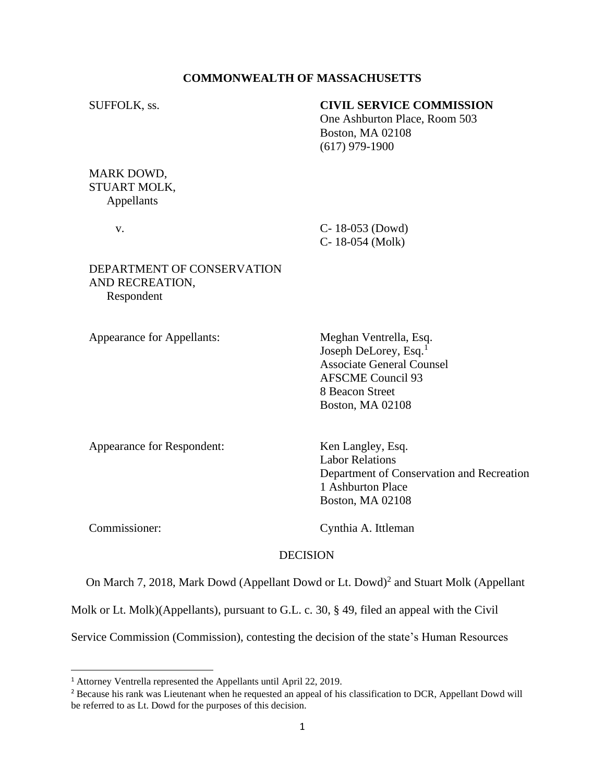## **COMMONWEALTH OF MASSACHUSETTS**

## SUFFOLK, ss. **CIVIL SERVICE COMMISSION**

One Ashburton Place, Room 503 Boston, MA 02108 (617) 979-1900

MARK DOWD, STUART MOLK, Appellants

 v. C- 18-053 (Dowd) C- 18-054 (Molk)

## DEPARTMENT OF CONSERVATION AND RECREATION, Respondent

Appearance for Appellants: Meghan Ventrella, Esq.

Joseph DeLorey, Esq.<sup>1</sup> Associate General Counsel AFSCME Council 93 8 Beacon Street Boston, MA 02108

Appearance for Respondent: Ken Langley, Esq.

Labor Relations Department of Conservation and Recreation 1 Ashburton Place Boston, MA 02108

Commissioner: Cynthia A. Ittleman

#### DECISION

On March 7, 2018, Mark Dowd (Appellant Dowd or Lt. Dowd) 2 and Stuart Molk (Appellant

Molk or Lt. Molk)(Appellants), pursuant to G.L. c. 30, § 49, filed an appeal with the Civil

Service Commission (Commission), contesting the decision of the state's Human Resources

<sup>1</sup> Attorney Ventrella represented the Appellants until April 22, 2019.

<sup>&</sup>lt;sup>2</sup> Because his rank was Lieutenant when he requested an appeal of his classification to DCR, Appellant Dowd will be referred to as Lt. Dowd for the purposes of this decision.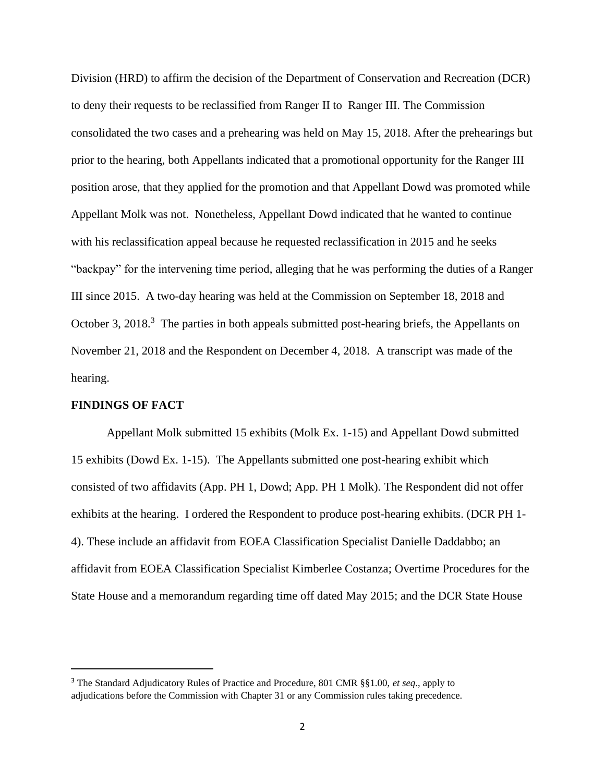Division (HRD) to affirm the decision of the Department of Conservation and Recreation (DCR) to deny their requests to be reclassified from Ranger II to Ranger III. The Commission consolidated the two cases and a prehearing was held on May 15, 2018. After the prehearings but prior to the hearing, both Appellants indicated that a promotional opportunity for the Ranger III position arose, that they applied for the promotion and that Appellant Dowd was promoted while Appellant Molk was not. Nonetheless, Appellant Dowd indicated that he wanted to continue with his reclassification appeal because he requested reclassification in 2015 and he seeks "backpay" for the intervening time period, alleging that he was performing the duties of a Ranger III since 2015. A two-day hearing was held at the Commission on September 18, 2018 and October 3, 2018.<sup>3</sup> The parties in both appeals submitted post-hearing briefs, the Appellants on November 21, 2018 and the Respondent on December 4, 2018. A transcript was made of the hearing.

### **FINDINGS OF FACT**

 Appellant Molk submitted 15 exhibits (Molk Ex. 1-15) and Appellant Dowd submitted 15 exhibits (Dowd Ex. 1-15). The Appellants submitted one post-hearing exhibit which consisted of two affidavits (App. PH 1, Dowd; App. PH 1 Molk). The Respondent did not offer exhibits at the hearing. I ordered the Respondent to produce post-hearing exhibits. (DCR PH 1- 4). These include an affidavit from EOEA Classification Specialist Danielle Daddabbo; an affidavit from EOEA Classification Specialist Kimberlee Costanza; Overtime Procedures for the State House and a memorandum regarding time off dated May 2015; and the DCR State House

<sup>3</sup> The Standard Adjudicatory Rules of Practice and Procedure, 801 CMR §§1.00, *et seq*., apply to adjudications before the Commission with Chapter 31 or any Commission rules taking precedence.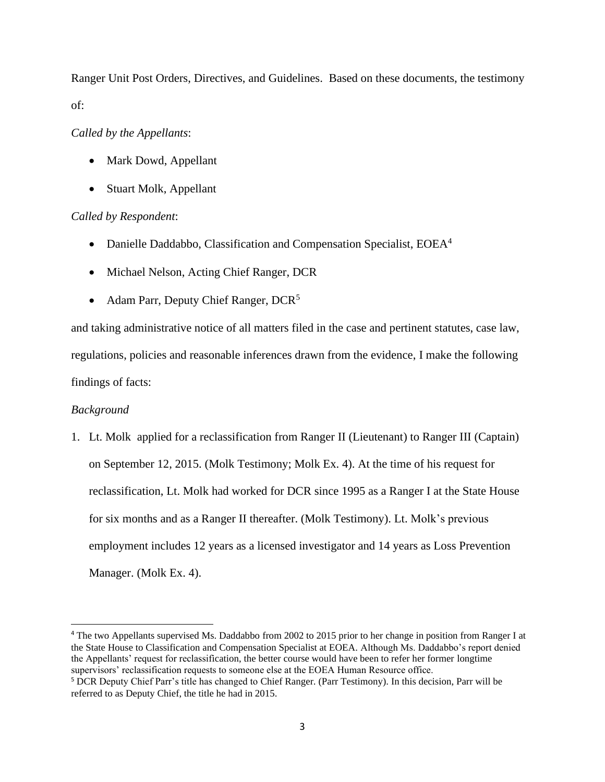Ranger Unit Post Orders, Directives, and Guidelines. Based on these documents, the testimony of:

## *Called by the Appellants*:

- Mark Dowd, Appellant
- Stuart Molk, Appellant

## *Called by Respondent*:

- Danielle Daddabbo, Classification and Compensation Specialist, EOEA<sup>4</sup>
- Michael Nelson, Acting Chief Ranger, DCR
- Adam Parr, Deputy Chief Ranger, DCR<sup>5</sup>

and taking administrative notice of all matters filed in the case and pertinent statutes, case law, regulations, policies and reasonable inferences drawn from the evidence, I make the following findings of facts:

## *Background*

1. Lt. Molk applied for a reclassification from Ranger II (Lieutenant) to Ranger III (Captain) on September 12, 2015. (Molk Testimony; Molk Ex. 4). At the time of his request for reclassification, Lt. Molk had worked for DCR since 1995 as a Ranger I at the State House for six months and as a Ranger II thereafter. (Molk Testimony). Lt. Molk's previous employment includes 12 years as a licensed investigator and 14 years as Loss Prevention Manager. (Molk Ex. 4).

<sup>4</sup> The two Appellants supervised Ms. Daddabbo from 2002 to 2015 prior to her change in position from Ranger I at the State House to Classification and Compensation Specialist at EOEA. Although Ms. Daddabbo's report denied the Appellants' request for reclassification, the better course would have been to refer her former longtime supervisors' reclassification requests to someone else at the EOEA Human Resource office.

<sup>5</sup> DCR Deputy Chief Parr's title has changed to Chief Ranger. (Parr Testimony). In this decision, Parr will be referred to as Deputy Chief, the title he had in 2015.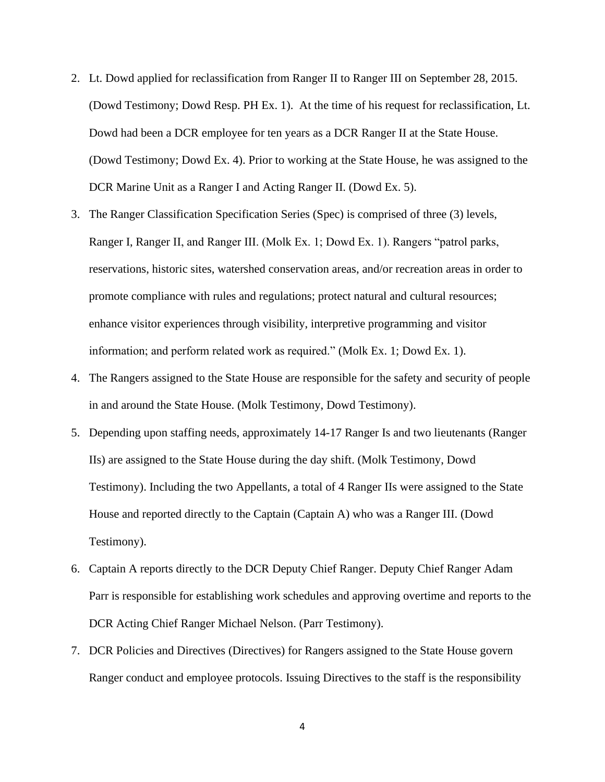- 2. Lt. Dowd applied for reclassification from Ranger II to Ranger III on September 28, 2015. (Dowd Testimony; Dowd Resp. PH Ex. 1). At the time of his request for reclassification, Lt. Dowd had been a DCR employee for ten years as a DCR Ranger II at the State House. (Dowd Testimony; Dowd Ex. 4). Prior to working at the State House, he was assigned to the DCR Marine Unit as a Ranger I and Acting Ranger II. (Dowd Ex. 5).
- 3. The Ranger Classification Specification Series (Spec) is comprised of three (3) levels, Ranger I, Ranger II, and Ranger III. (Molk Ex. 1; Dowd Ex. 1). Rangers "patrol parks, reservations, historic sites, watershed conservation areas, and/or recreation areas in order to promote compliance with rules and regulations; protect natural and cultural resources; enhance visitor experiences through visibility, interpretive programming and visitor information; and perform related work as required." (Molk Ex. 1; Dowd Ex. 1).
- 4. The Rangers assigned to the State House are responsible for the safety and security of people in and around the State House. (Molk Testimony, Dowd Testimony).
- 5. Depending upon staffing needs, approximately 14-17 Ranger Is and two lieutenants (Ranger IIs) are assigned to the State House during the day shift. (Molk Testimony, Dowd Testimony). Including the two Appellants, a total of 4 Ranger IIs were assigned to the State House and reported directly to the Captain (Captain A) who was a Ranger III. (Dowd Testimony).
- 6. Captain A reports directly to the DCR Deputy Chief Ranger. Deputy Chief Ranger Adam Parr is responsible for establishing work schedules and approving overtime and reports to the DCR Acting Chief Ranger Michael Nelson. (Parr Testimony).
- 7. DCR Policies and Directives (Directives) for Rangers assigned to the State House govern Ranger conduct and employee protocols. Issuing Directives to the staff is the responsibility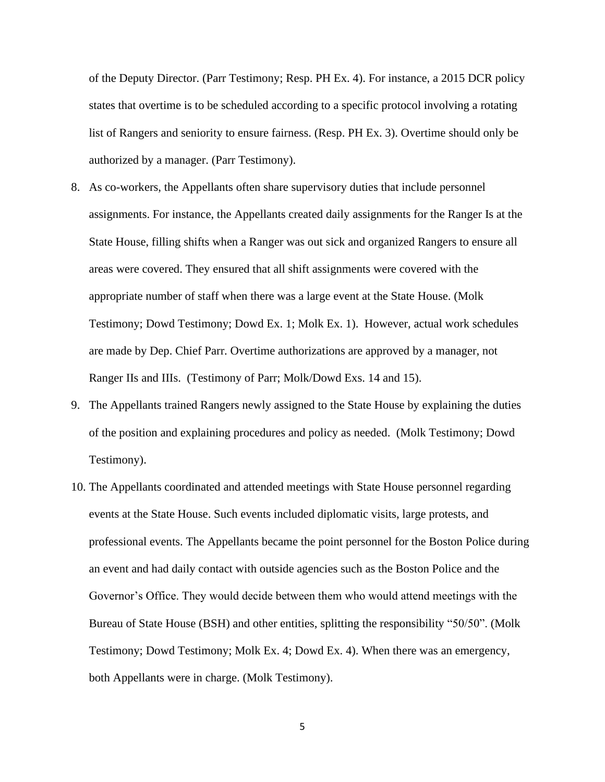of the Deputy Director. (Parr Testimony; Resp. PH Ex. 4). For instance, a 2015 DCR policy states that overtime is to be scheduled according to a specific protocol involving a rotating list of Rangers and seniority to ensure fairness. (Resp. PH Ex. 3). Overtime should only be authorized by a manager. (Parr Testimony).

- 8. As co-workers, the Appellants often share supervisory duties that include personnel assignments. For instance, the Appellants created daily assignments for the Ranger Is at the State House, filling shifts when a Ranger was out sick and organized Rangers to ensure all areas were covered. They ensured that all shift assignments were covered with the appropriate number of staff when there was a large event at the State House. (Molk Testimony; Dowd Testimony; Dowd Ex. 1; Molk Ex. 1). However, actual work schedules are made by Dep. Chief Parr. Overtime authorizations are approved by a manager, not Ranger IIs and IIIs. (Testimony of Parr; Molk/Dowd Exs. 14 and 15).
- 9. The Appellants trained Rangers newly assigned to the State House by explaining the duties of the position and explaining procedures and policy as needed. (Molk Testimony; Dowd Testimony).
- 10. The Appellants coordinated and attended meetings with State House personnel regarding events at the State House. Such events included diplomatic visits, large protests, and professional events. The Appellants became the point personnel for the Boston Police during an event and had daily contact with outside agencies such as the Boston Police and the Governor's Office. They would decide between them who would attend meetings with the Bureau of State House (BSH) and other entities, splitting the responsibility "50/50". (Molk Testimony; Dowd Testimony; Molk Ex. 4; Dowd Ex. 4). When there was an emergency, both Appellants were in charge. (Molk Testimony).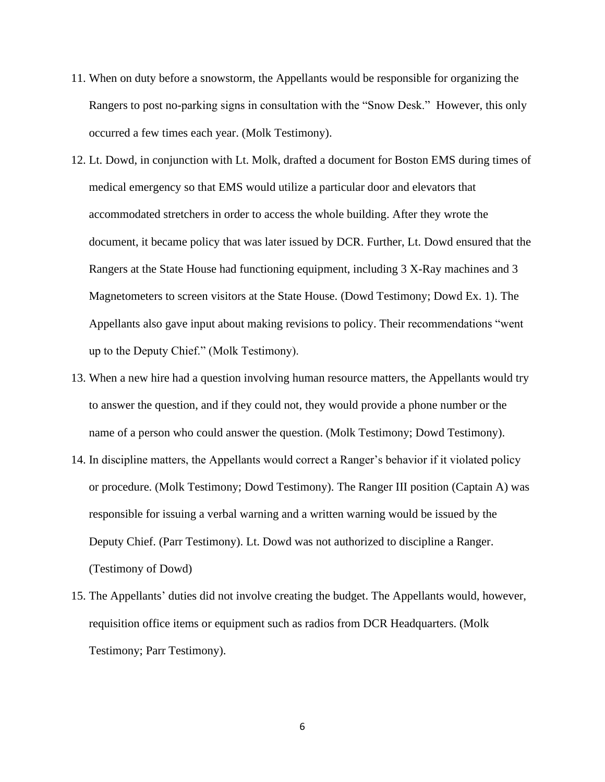- 11. When on duty before a snowstorm, the Appellants would be responsible for organizing the Rangers to post no-parking signs in consultation with the "Snow Desk." However, this only occurred a few times each year. (Molk Testimony).
- 12. Lt. Dowd, in conjunction with Lt. Molk, drafted a document for Boston EMS during times of medical emergency so that EMS would utilize a particular door and elevators that accommodated stretchers in order to access the whole building. After they wrote the document, it became policy that was later issued by DCR. Further, Lt. Dowd ensured that the Rangers at the State House had functioning equipment, including 3 X-Ray machines and 3 Magnetometers to screen visitors at the State House. (Dowd Testimony; Dowd Ex. 1). The Appellants also gave input about making revisions to policy. Their recommendations "went up to the Deputy Chief." (Molk Testimony).
- 13. When a new hire had a question involving human resource matters, the Appellants would try to answer the question, and if they could not, they would provide a phone number or the name of a person who could answer the question. (Molk Testimony; Dowd Testimony).
- 14. In discipline matters, the Appellants would correct a Ranger's behavior if it violated policy or procedure. (Molk Testimony; Dowd Testimony). The Ranger III position (Captain A) was responsible for issuing a verbal warning and a written warning would be issued by the Deputy Chief. (Parr Testimony). Lt. Dowd was not authorized to discipline a Ranger. (Testimony of Dowd)
- 15. The Appellants' duties did not involve creating the budget. The Appellants would, however, requisition office items or equipment such as radios from DCR Headquarters. (Molk Testimony; Parr Testimony).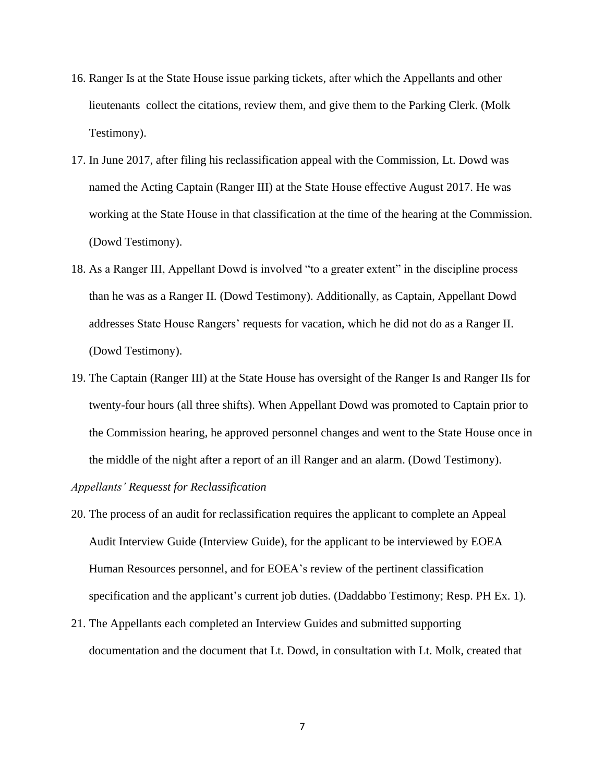- 16. Ranger Is at the State House issue parking tickets, after which the Appellants and other lieutenants collect the citations, review them, and give them to the Parking Clerk. (Molk Testimony).
- 17. In June 2017, after filing his reclassification appeal with the Commission, Lt. Dowd was named the Acting Captain (Ranger III) at the State House effective August 2017. He was working at the State House in that classification at the time of the hearing at the Commission. (Dowd Testimony).
- 18. As a Ranger III, Appellant Dowd is involved "to a greater extent" in the discipline process than he was as a Ranger II. (Dowd Testimony). Additionally, as Captain, Appellant Dowd addresses State House Rangers' requests for vacation, which he did not do as a Ranger II. (Dowd Testimony).
- 19. The Captain (Ranger III) at the State House has oversight of the Ranger Is and Ranger IIs for twenty-four hours (all three shifts). When Appellant Dowd was promoted to Captain prior to the Commission hearing, he approved personnel changes and went to the State House once in the middle of the night after a report of an ill Ranger and an alarm. (Dowd Testimony).

*Appellants' Requesst for Reclassification* 

- 20. The process of an audit for reclassification requires the applicant to complete an Appeal Audit Interview Guide (Interview Guide), for the applicant to be interviewed by EOEA Human Resources personnel, and for EOEA's review of the pertinent classification specification and the applicant's current job duties. (Daddabbo Testimony; Resp. PH Ex. 1).
- 21. The Appellants each completed an Interview Guides and submitted supporting documentation and the document that Lt. Dowd, in consultation with Lt. Molk, created that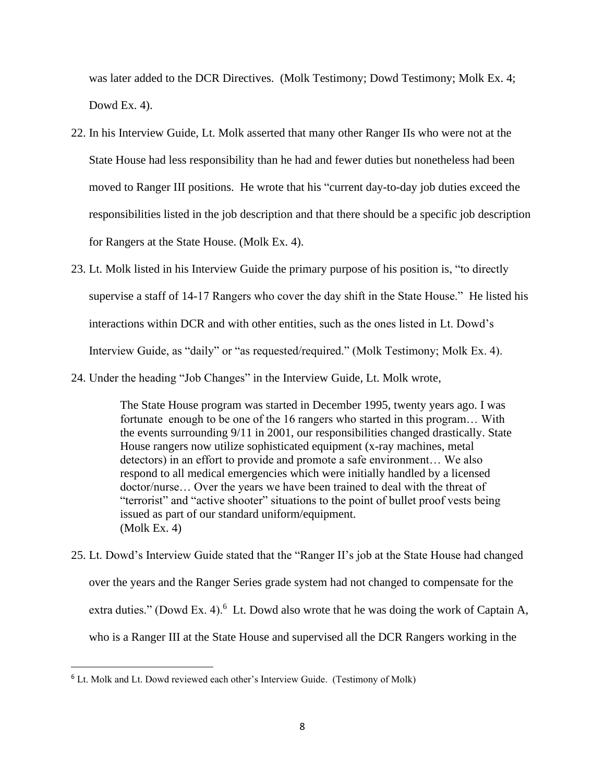was later added to the DCR Directives. (Molk Testimony; Dowd Testimony; Molk Ex. 4; Dowd Ex. 4).

- 22. In his Interview Guide, Lt. Molk asserted that many other Ranger IIs who were not at the State House had less responsibility than he had and fewer duties but nonetheless had been moved to Ranger III positions. He wrote that his "current day-to-day job duties exceed the responsibilities listed in the job description and that there should be a specific job description for Rangers at the State House. (Molk Ex. 4).
- 23. Lt. Molk listed in his Interview Guide the primary purpose of his position is, "to directly supervise a staff of 14-17 Rangers who cover the day shift in the State House." He listed his interactions within DCR and with other entities, such as the ones listed in Lt. Dowd's Interview Guide, as "daily" or "as requested/required." (Molk Testimony; Molk Ex. 4).
- 24. Under the heading "Job Changes" in the Interview Guide, Lt. Molk wrote,

The State House program was started in December 1995, twenty years ago. I was fortunate enough to be one of the 16 rangers who started in this program… With the events surrounding 9/11 in 2001, our responsibilities changed drastically. State House rangers now utilize sophisticated equipment (x-ray machines, metal detectors) in an effort to provide and promote a safe environment… We also respond to all medical emergencies which were initially handled by a licensed doctor/nurse… Over the years we have been trained to deal with the threat of "terrorist" and "active shooter" situations to the point of bullet proof vests being issued as part of our standard uniform/equipment. (Molk Ex. 4)

25. Lt. Dowd's Interview Guide stated that the "Ranger II's job at the State House had changed over the years and the Ranger Series grade system had not changed to compensate for the extra duties." (Dowd Ex. 4). $6$  Lt. Dowd also wrote that he was doing the work of Captain A, who is a Ranger III at the State House and supervised all the DCR Rangers working in the

<sup>&</sup>lt;sup>6</sup> Lt. Molk and Lt. Dowd reviewed each other's Interview Guide. (Testimony of Molk)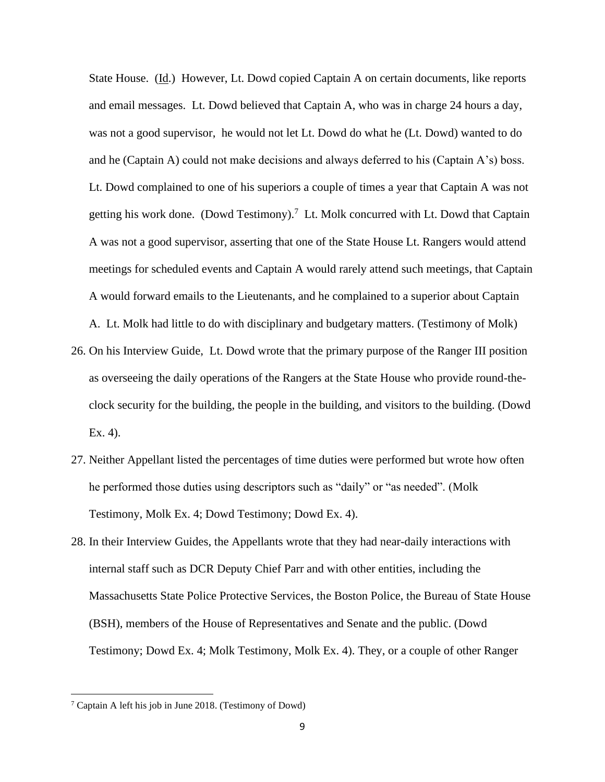State House. (Id.) However, Lt. Dowd copied Captain A on certain documents, like reports and email messages. Lt. Dowd believed that Captain A, who was in charge 24 hours a day, was not a good supervisor, he would not let Lt. Dowd do what he (Lt. Dowd) wanted to do and he (Captain A) could not make decisions and always deferred to his (Captain A's) boss. Lt. Dowd complained to one of his superiors a couple of times a year that Captain A was not getting his work done. (Dowd Testimony).<sup>7</sup> Lt. Molk concurred with Lt. Dowd that Captain A was not a good supervisor, asserting that one of the State House Lt. Rangers would attend meetings for scheduled events and Captain A would rarely attend such meetings, that Captain A would forward emails to the Lieutenants, and he complained to a superior about Captain

A. Lt. Molk had little to do with disciplinary and budgetary matters. (Testimony of Molk)

- 26. On his Interview Guide, Lt. Dowd wrote that the primary purpose of the Ranger III position as overseeing the daily operations of the Rangers at the State House who provide round-theclock security for the building, the people in the building, and visitors to the building. (Dowd Ex. 4).
- 27. Neither Appellant listed the percentages of time duties were performed but wrote how often he performed those duties using descriptors such as "daily" or "as needed". (Molk Testimony, Molk Ex. 4; Dowd Testimony; Dowd Ex. 4).
- 28. In their Interview Guides, the Appellants wrote that they had near-daily interactions with internal staff such as DCR Deputy Chief Parr and with other entities, including the Massachusetts State Police Protective Services, the Boston Police, the Bureau of State House (BSH), members of the House of Representatives and Senate and the public. (Dowd Testimony; Dowd Ex. 4; Molk Testimony, Molk Ex. 4). They, or a couple of other Ranger

<sup>7</sup> Captain A left his job in June 2018. (Testimony of Dowd)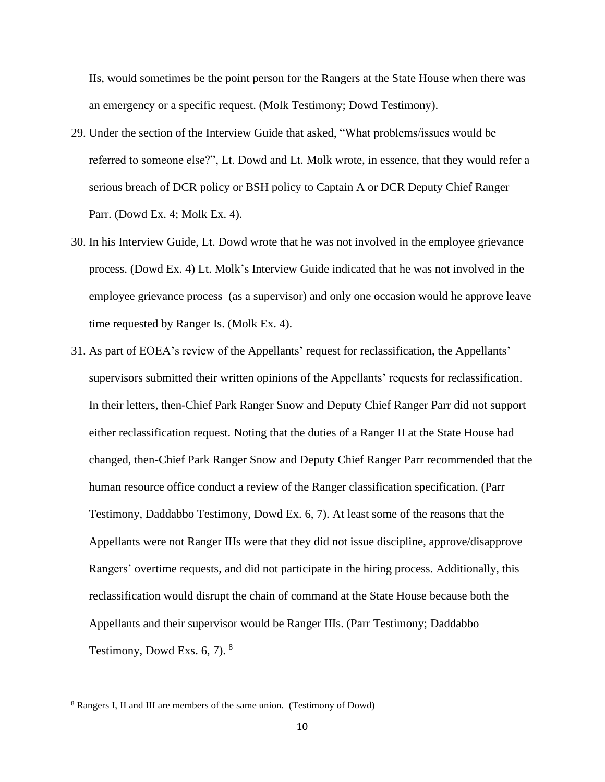IIs, would sometimes be the point person for the Rangers at the State House when there was an emergency or a specific request. (Molk Testimony; Dowd Testimony).

- 29. Under the section of the Interview Guide that asked, "What problems/issues would be referred to someone else?", Lt. Dowd and Lt. Molk wrote, in essence, that they would refer a serious breach of DCR policy or BSH policy to Captain A or DCR Deputy Chief Ranger Parr. (Dowd Ex. 4; Molk Ex. 4).
- 30. In his Interview Guide, Lt. Dowd wrote that he was not involved in the employee grievance process. (Dowd Ex. 4) Lt. Molk's Interview Guide indicated that he was not involved in the employee grievance process (as a supervisor) and only one occasion would he approve leave time requested by Ranger Is. (Molk Ex. 4).
- 31. As part of EOEA's review of the Appellants' request for reclassification, the Appellants' supervisors submitted their written opinions of the Appellants' requests for reclassification. In their letters, then-Chief Park Ranger Snow and Deputy Chief Ranger Parr did not support either reclassification request. Noting that the duties of a Ranger II at the State House had changed, then-Chief Park Ranger Snow and Deputy Chief Ranger Parr recommended that the human resource office conduct a review of the Ranger classification specification. (Parr Testimony, Daddabbo Testimony, Dowd Ex. 6, 7). At least some of the reasons that the Appellants were not Ranger IIIs were that they did not issue discipline, approve/disapprove Rangers' overtime requests, and did not participate in the hiring process. Additionally, this reclassification would disrupt the chain of command at the State House because both the Appellants and their supervisor would be Ranger IIIs. (Parr Testimony; Daddabbo Testimony, Dowd Exs.  $6, 7$ ).  $8$

<sup>8</sup> Rangers I, II and III are members of the same union. (Testimony of Dowd)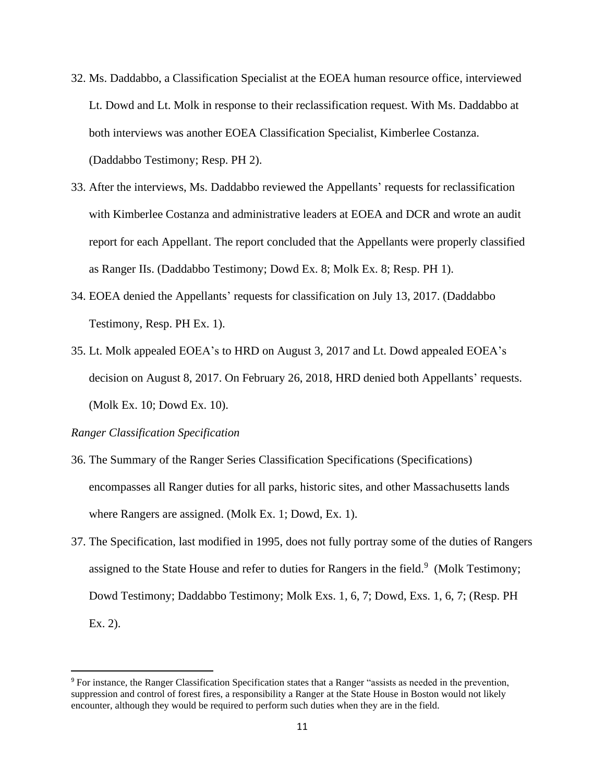- 32. Ms. Daddabbo, a Classification Specialist at the EOEA human resource office, interviewed Lt. Dowd and Lt. Molk in response to their reclassification request. With Ms. Daddabbo at both interviews was another EOEA Classification Specialist, Kimberlee Costanza. (Daddabbo Testimony; Resp. PH 2).
- 33. After the interviews, Ms. Daddabbo reviewed the Appellants' requests for reclassification with Kimberlee Costanza and administrative leaders at EOEA and DCR and wrote an audit report for each Appellant. The report concluded that the Appellants were properly classified as Ranger IIs. (Daddabbo Testimony; Dowd Ex. 8; Molk Ex. 8; Resp. PH 1).
- 34. EOEA denied the Appellants' requests for classification on July 13, 2017. (Daddabbo Testimony, Resp. PH Ex. 1).
- 35. Lt. Molk appealed EOEA's to HRD on August 3, 2017 and Lt. Dowd appealed EOEA's decision on August 8, 2017. On February 26, 2018, HRD denied both Appellants' requests. (Molk Ex. 10; Dowd Ex. 10).

#### *Ranger Classification Specification*

- 36. The Summary of the Ranger Series Classification Specifications (Specifications) encompasses all Ranger duties for all parks, historic sites, and other Massachusetts lands where Rangers are assigned. (Molk Ex. 1; Dowd, Ex. 1).
- 37. The Specification, last modified in 1995, does not fully portray some of the duties of Rangers assigned to the State House and refer to duties for Rangers in the field.<sup>9</sup> (Molk Testimony; Dowd Testimony; Daddabbo Testimony; Molk Exs. 1, 6, 7; Dowd, Exs. 1, 6, 7; (Resp. PH Ex. 2).

<sup>9</sup> For instance, the Ranger Classification Specification states that a Ranger "assists as needed in the prevention, suppression and control of forest fires, a responsibility a Ranger at the State House in Boston would not likely encounter, although they would be required to perform such duties when they are in the field.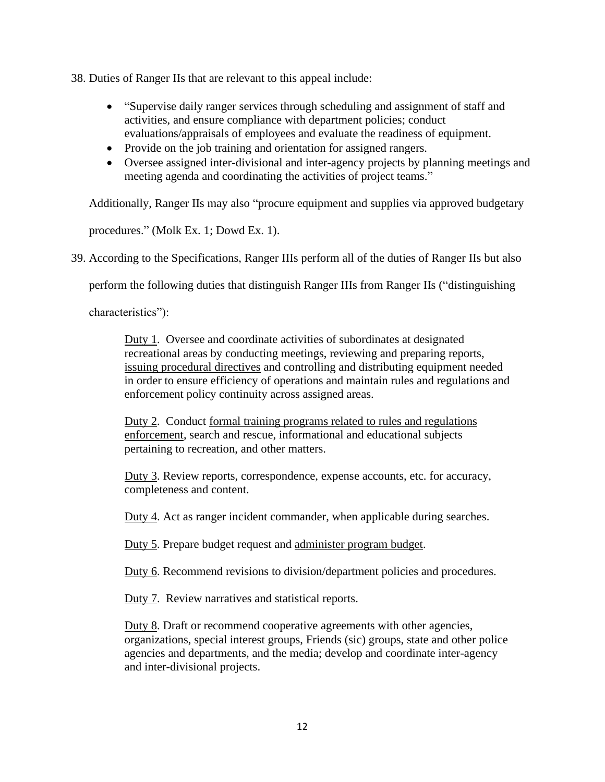38. Duties of Ranger IIs that are relevant to this appeal include:

- "Supervise daily ranger services through scheduling and assignment of staff and activities, and ensure compliance with department policies; conduct evaluations/appraisals of employees and evaluate the readiness of equipment.
- Provide on the job training and orientation for assigned rangers.
- Oversee assigned inter-divisional and inter-agency projects by planning meetings and meeting agenda and coordinating the activities of project teams."

Additionally, Ranger IIs may also "procure equipment and supplies via approved budgetary

procedures." (Molk Ex. 1; Dowd Ex. 1).

39. According to the Specifications, Ranger IIIs perform all of the duties of Ranger IIs but also

perform the following duties that distinguish Ranger IIIs from Ranger IIs ("distinguishing

characteristics"):

Duty 1. Oversee and coordinate activities of subordinates at designated recreational areas by conducting meetings, reviewing and preparing reports, issuing procedural directives and controlling and distributing equipment needed in order to ensure efficiency of operations and maintain rules and regulations and enforcement policy continuity across assigned areas.

Duty 2. Conduct formal training programs related to rules and regulations enforcement, search and rescue, informational and educational subjects pertaining to recreation, and other matters.

Duty 3. Review reports, correspondence, expense accounts, etc. for accuracy, completeness and content.

Duty 4. Act as ranger incident commander, when applicable during searches.

Duty 5. Prepare budget request and administer program budget.

Duty 6. Recommend revisions to division/department policies and procedures.

Duty 7. Review narratives and statistical reports.

Duty 8. Draft or recommend cooperative agreements with other agencies, organizations, special interest groups, Friends (sic) groups, state and other police agencies and departments, and the media; develop and coordinate inter-agency and inter-divisional projects.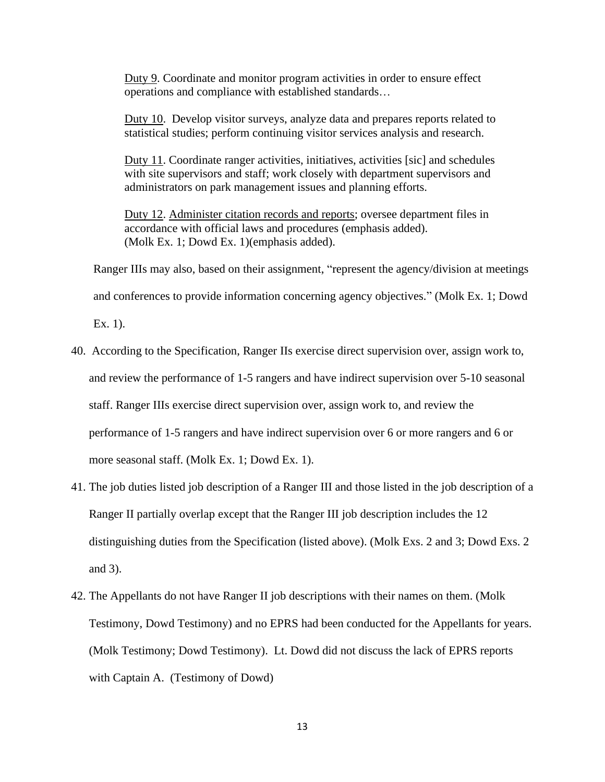Duty 9. Coordinate and monitor program activities in order to ensure effect operations and compliance with established standards…

Duty 10. Develop visitor surveys, analyze data and prepares reports related to statistical studies; perform continuing visitor services analysis and research.

Duty 11. Coordinate ranger activities, initiatives, activities [sic] and schedules with site supervisors and staff; work closely with department supervisors and administrators on park management issues and planning efforts.

Duty 12. Administer citation records and reports; oversee department files in accordance with official laws and procedures (emphasis added). (Molk Ex. 1; Dowd Ex. 1)(emphasis added).

Ranger IIIs may also, based on their assignment, "represent the agency/division at meetings

and conferences to provide information concerning agency objectives." (Molk Ex. 1; Dowd

Ex. 1).

- 40. According to the Specification, Ranger IIs exercise direct supervision over, assign work to, and review the performance of 1-5 rangers and have indirect supervision over 5-10 seasonal staff. Ranger IIIs exercise direct supervision over, assign work to, and review the performance of 1-5 rangers and have indirect supervision over 6 or more rangers and 6 or more seasonal staff. (Molk Ex. 1; Dowd Ex. 1).
- 41. The job duties listed job description of a Ranger III and those listed in the job description of a Ranger II partially overlap except that the Ranger III job description includes the 12 distinguishing duties from the Specification (listed above). (Molk Exs. 2 and 3; Dowd Exs. 2 and 3).
- 42. The Appellants do not have Ranger II job descriptions with their names on them. (Molk Testimony, Dowd Testimony) and no EPRS had been conducted for the Appellants for years. (Molk Testimony; Dowd Testimony). Lt. Dowd did not discuss the lack of EPRS reports with Captain A. (Testimony of Dowd)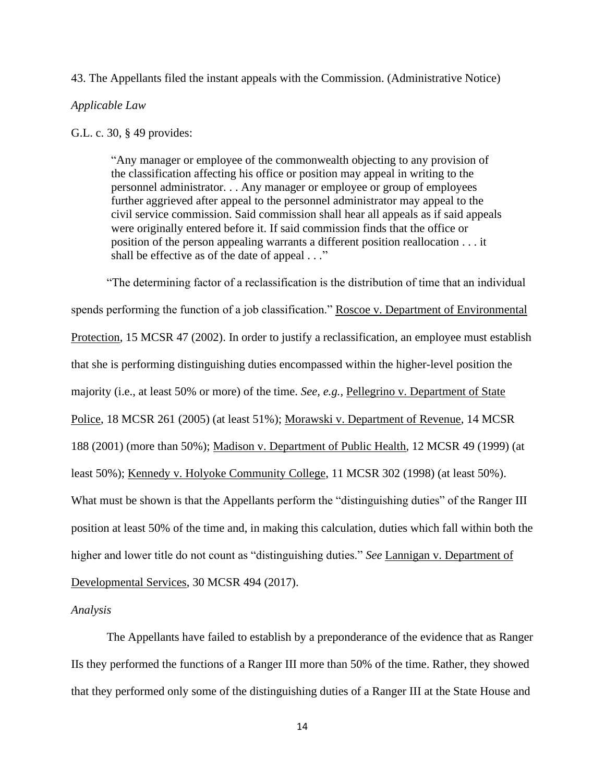## 43. The Appellants filed the instant appeals with the Commission. (Administrative Notice)

#### *Applicable Law*

#### G.L. c. 30, § 49 provides:

"Any manager or employee of the commonwealth objecting to any provision of the classification affecting his office or position may appeal in writing to the personnel administrator. . . Any manager or employee or group of employees further aggrieved after appeal to the personnel administrator may appeal to the civil service commission. Said commission shall hear all appeals as if said appeals were originally entered before it. If said commission finds that the office or position of the person appealing warrants a different position reallocation . . . it shall be effective as of the date of appeal . . ."

"The determining factor of a reclassification is the distribution of time that an individual spends performing the function of a job classification." Roscoe v. Department of Environmental Protection, 15 MCSR 47 (2002). In order to justify a reclassification, an employee must establish that she is performing distinguishing duties encompassed within the higher-level position the majority (i.e., at least 50% or more) of the time. *See, e.g.,* Pellegrino v. Department of State Police, 18 MCSR 261 (2005) (at least 51%); Morawski v. Department of Revenue, 14 MCSR 188 (2001) (more than 50%); Madison v. Department of Public Health, 12 MCSR 49 (1999) (at least 50%); Kennedy v. Holyoke Community College, 11 MCSR 302 (1998) (at least 50%). What must be shown is that the Appellants perform the "distinguishing duties" of the Ranger III position at least 50% of the time and, in making this calculation, duties which fall within both the higher and lower title do not count as "distinguishing duties." *See* Lannigan v. Department of Developmental Services, 30 MCSR 494 (2017).

### *Analysis*

The Appellants have failed to establish by a preponderance of the evidence that as Ranger IIs they performed the functions of a Ranger III more than 50% of the time. Rather, they showed that they performed only some of the distinguishing duties of a Ranger III at the State House and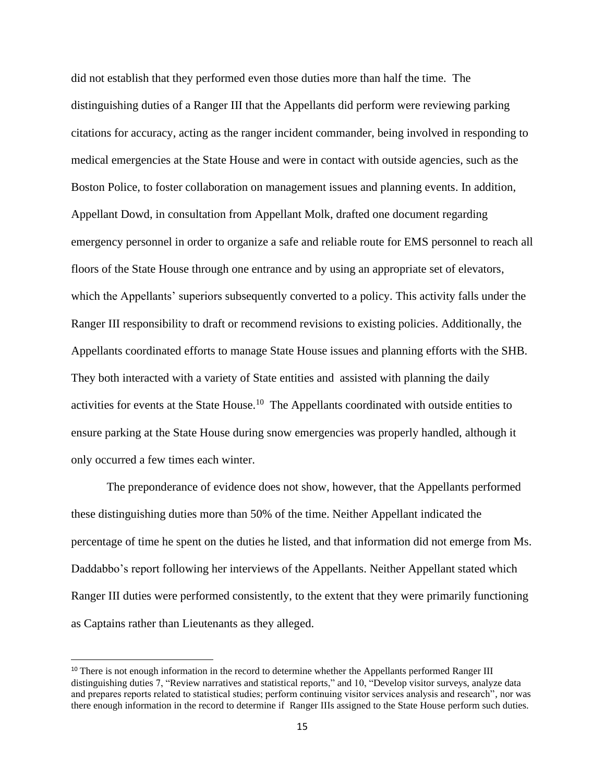did not establish that they performed even those duties more than half the time. The distinguishing duties of a Ranger III that the Appellants did perform were reviewing parking citations for accuracy, acting as the ranger incident commander, being involved in responding to medical emergencies at the State House and were in contact with outside agencies, such as the Boston Police, to foster collaboration on management issues and planning events. In addition, Appellant Dowd, in consultation from Appellant Molk, drafted one document regarding emergency personnel in order to organize a safe and reliable route for EMS personnel to reach all floors of the State House through one entrance and by using an appropriate set of elevators, which the Appellants' superiors subsequently converted to a policy. This activity falls under the Ranger III responsibility to draft or recommend revisions to existing policies. Additionally, the Appellants coordinated efforts to manage State House issues and planning efforts with the SHB. They both interacted with a variety of State entities and assisted with planning the daily activities for events at the State House.<sup>10</sup> The Appellants coordinated with outside entities to ensure parking at the State House during snow emergencies was properly handled, although it only occurred a few times each winter.

The preponderance of evidence does not show, however, that the Appellants performed these distinguishing duties more than 50% of the time. Neither Appellant indicated the percentage of time he spent on the duties he listed, and that information did not emerge from Ms. Daddabbo's report following her interviews of the Appellants. Neither Appellant stated which Ranger III duties were performed consistently, to the extent that they were primarily functioning as Captains rather than Lieutenants as they alleged.

<sup>&</sup>lt;sup>10</sup> There is not enough information in the record to determine whether the Appellants performed Ranger III distinguishing duties 7, "Review narratives and statistical reports," and 10, "Develop visitor surveys, analyze data and prepares reports related to statistical studies; perform continuing visitor services analysis and research", nor was there enough information in the record to determine if Ranger IIIs assigned to the State House perform such duties.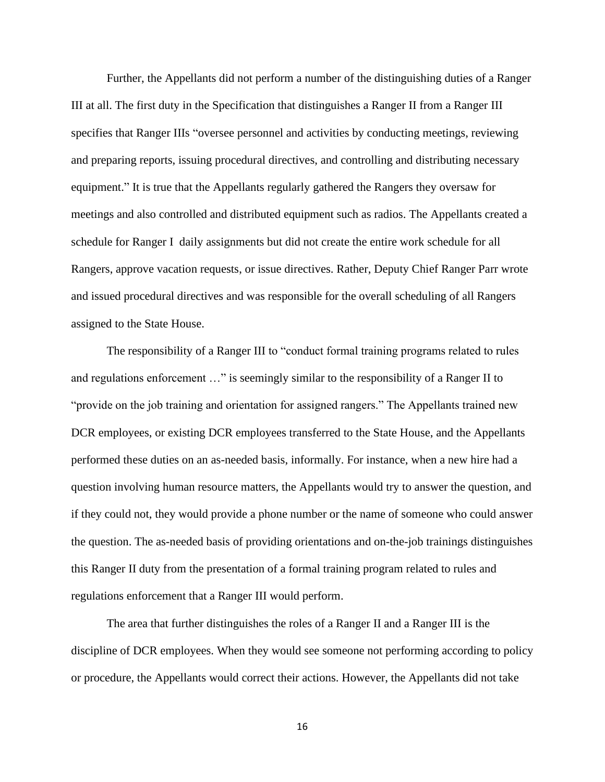Further, the Appellants did not perform a number of the distinguishing duties of a Ranger III at all. The first duty in the Specification that distinguishes a Ranger II from a Ranger III specifies that Ranger IIIs "oversee personnel and activities by conducting meetings, reviewing and preparing reports, issuing procedural directives, and controlling and distributing necessary equipment." It is true that the Appellants regularly gathered the Rangers they oversaw for meetings and also controlled and distributed equipment such as radios. The Appellants created a schedule for Ranger I daily assignments but did not create the entire work schedule for all Rangers, approve vacation requests, or issue directives. Rather, Deputy Chief Ranger Parr wrote and issued procedural directives and was responsible for the overall scheduling of all Rangers assigned to the State House.

The responsibility of a Ranger III to "conduct formal training programs related to rules and regulations enforcement …" is seemingly similar to the responsibility of a Ranger II to "provide on the job training and orientation for assigned rangers." The Appellants trained new DCR employees, or existing DCR employees transferred to the State House, and the Appellants performed these duties on an as-needed basis, informally. For instance, when a new hire had a question involving human resource matters, the Appellants would try to answer the question, and if they could not, they would provide a phone number or the name of someone who could answer the question. The as-needed basis of providing orientations and on-the-job trainings distinguishes this Ranger II duty from the presentation of a formal training program related to rules and regulations enforcement that a Ranger III would perform.

The area that further distinguishes the roles of a Ranger II and a Ranger III is the discipline of DCR employees. When they would see someone not performing according to policy or procedure, the Appellants would correct their actions. However, the Appellants did not take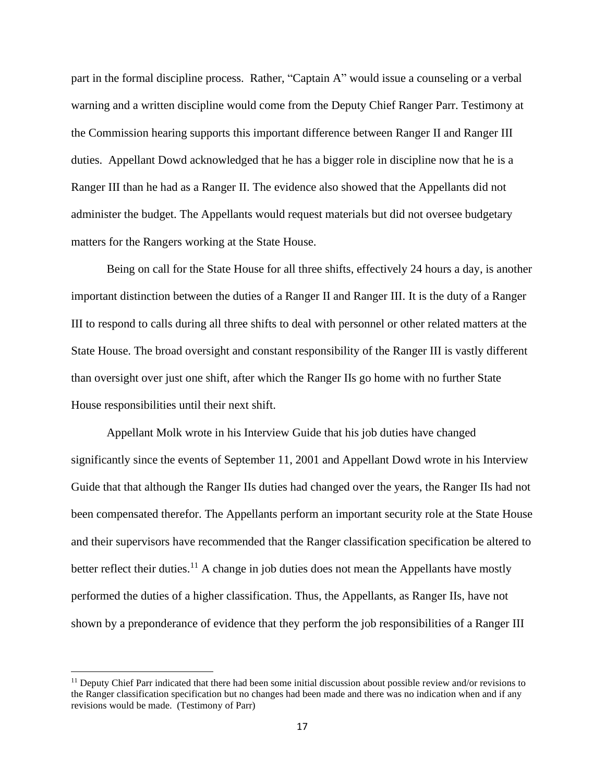part in the formal discipline process. Rather, "Captain A" would issue a counseling or a verbal warning and a written discipline would come from the Deputy Chief Ranger Parr. Testimony at the Commission hearing supports this important difference between Ranger II and Ranger III duties. Appellant Dowd acknowledged that he has a bigger role in discipline now that he is a Ranger III than he had as a Ranger II. The evidence also showed that the Appellants did not administer the budget. The Appellants would request materials but did not oversee budgetary matters for the Rangers working at the State House.

Being on call for the State House for all three shifts, effectively 24 hours a day, is another important distinction between the duties of a Ranger II and Ranger III. It is the duty of a Ranger III to respond to calls during all three shifts to deal with personnel or other related matters at the State House. The broad oversight and constant responsibility of the Ranger III is vastly different than oversight over just one shift, after which the Ranger IIs go home with no further State House responsibilities until their next shift.

Appellant Molk wrote in his Interview Guide that his job duties have changed significantly since the events of September 11, 2001 and Appellant Dowd wrote in his Interview Guide that that although the Ranger IIs duties had changed over the years, the Ranger IIs had not been compensated therefor. The Appellants perform an important security role at the State House and their supervisors have recommended that the Ranger classification specification be altered to better reflect their duties.<sup>11</sup> A change in job duties does not mean the Appellants have mostly performed the duties of a higher classification. Thus, the Appellants, as Ranger IIs, have not shown by a preponderance of evidence that they perform the job responsibilities of a Ranger III

 $11$  Deputy Chief Parr indicated that there had been some initial discussion about possible review and/or revisions to the Ranger classification specification but no changes had been made and there was no indication when and if any revisions would be made. (Testimony of Parr)